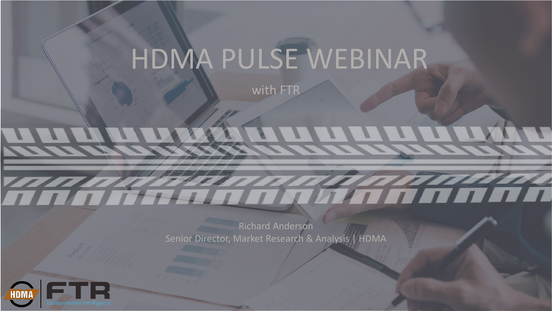# HDMA PULSE WEBINAR

with FTI

Richard Anderson Senior Director, Market Research & Analysis | HDMA

TA ANG PARTITO NG KATALOGANA

*This report is the property of the Heavy Duty Manufacturers Association (HDMA) and subject to the protection of copyright, trademark and other* 

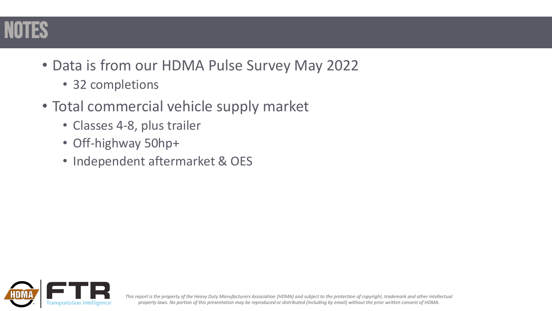

- Data is from our HDMA Pulse Survey May 2022
	- 32 completions
- Total commercial vehicle supply market
	- Classes 4-8, plus trailer
	- Off-highway 50hp+
	- Independent aftermarket & OES

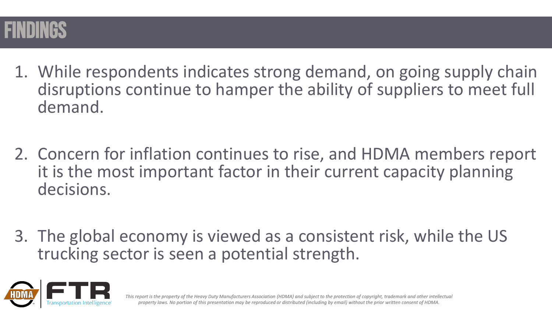

- 1. While respondents indicates strong demand, on going supply chain disruptions continue to hamper the ability of suppliers to meet full demand.
- 2. Concern for inflation continues to rise, and HDMA members report it is the most important factor in their current capacity planning decisions.
- 3. The global economy is viewed as a consistent risk, while the US trucking sector is seen a potential strength.

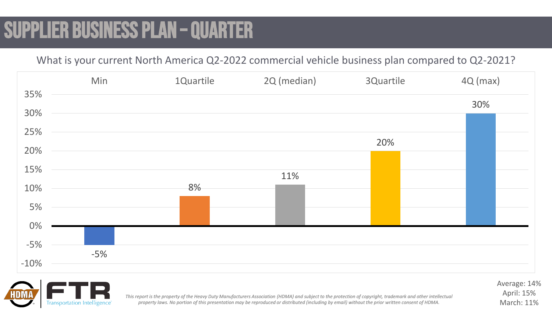# SUPPLIER BUSINESS PLAN – QUARTER

What is your current North America Q2-2022 commercial vehicle business plan compared to Q2-2021?





*This report is the property of the Heavy Duty Manufacturers Association (HDMA) and subject to the protection of copyright, trademark and other intellectual property laws. No portion of this presentation may be reproduced or distributed (including by email) without the prior written consent of HDMA.* 

Average: 14% April: 15% March: 11%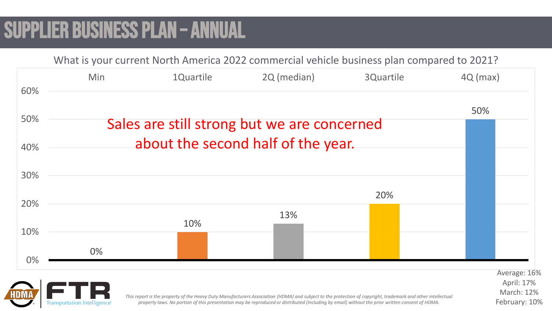# SUPPLIER BUSINESS PLAN – ANNUAL





March: 12% February: 10%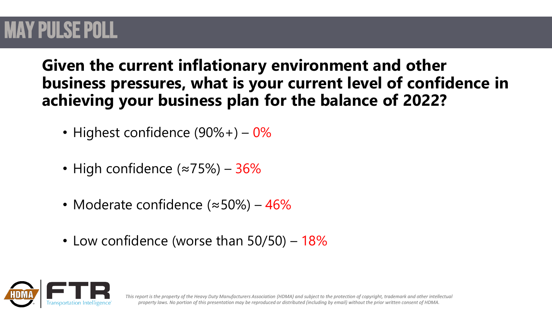### May PULSE POLL

**Given the current inflationary environment and other business pressures, what is your current level of confidence in achieving your business plan for the balance of 2022?**

- Highest confidence  $(90\% +) 0\%$
- High confidence (≈75%) 36%
- Moderate confidence (≈50%) 46%
- Low confidence (worse than 50/50) 18%

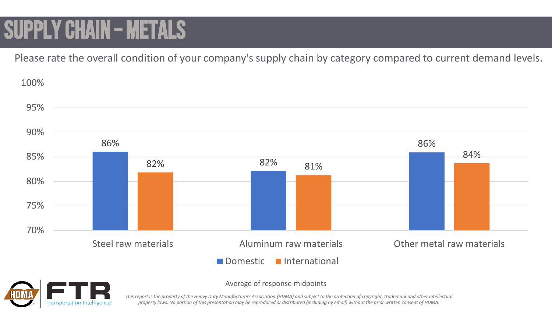# SUPPLY CHAIN – METALS

Please rate the overall condition of your company's supply chain by category compared to current demand levels.





Average of response midpoints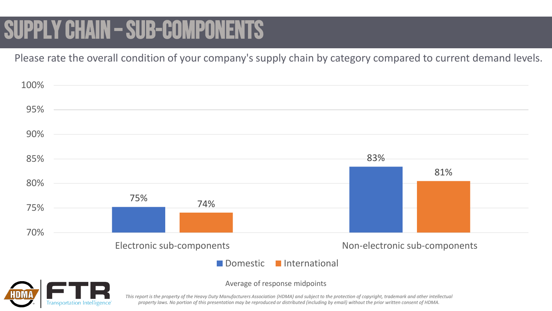# SUPPLY CHAIN - SUB-COMPONENTS

Please rate the overall condition of your company's supply chain by category compared to current demand levels.

| 100% |                                                     |                               |
|------|-----------------------------------------------------|-------------------------------|
| 95%  |                                                     |                               |
| 90%  |                                                     |                               |
| 85%  |                                                     | 83%                           |
| 80%  |                                                     | 81%                           |
| 75%  | 75%<br>74%                                          |                               |
| 70%  |                                                     |                               |
|      | Electronic sub-components<br>Domestic International | Non-electronic sub-components |



Average of response midpoints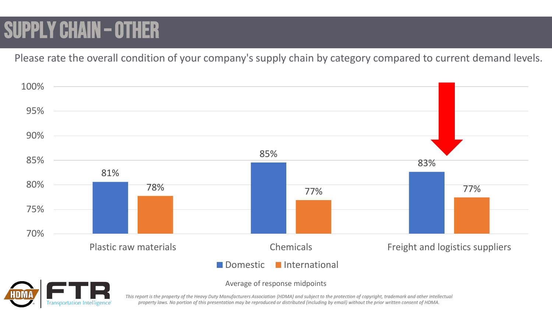# SUPPLY CHAIN – OTHER

Please rate the overall condition of your company's supply chain by category compared to current demand levels.





Average of response midpoints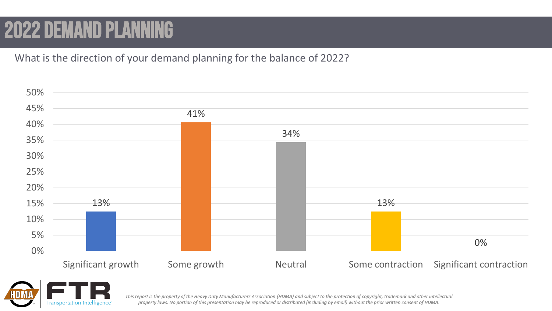# 2022 demand planning

What is the direction of your demand planning for the balance of 2022?



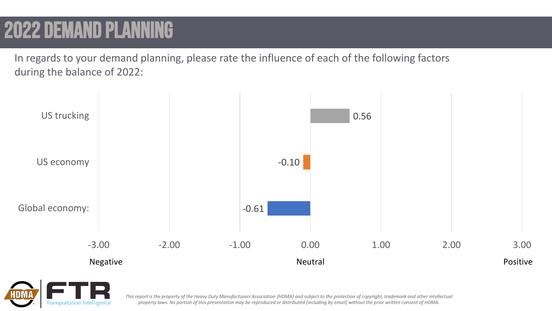# 2022 demand pla

In regards to your demand planning, please rate the influence of each of the following factors during the balance of 2022:



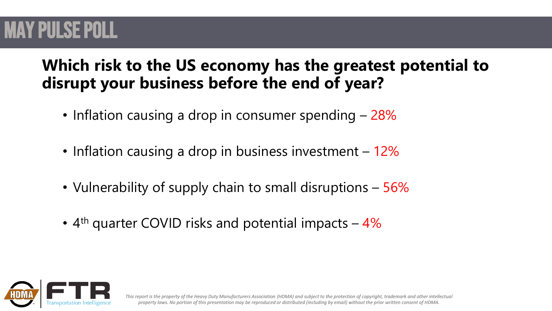### May PULSE POLL

### **Which risk to the US economy has the greatest potential to disrupt your business before the end of year?**

- Inflation causing a drop in consumer spending 28%
- Inflation causing a drop in business investment 12%
- Vulnerability of supply chain to small disruptions 56%
- $4<sup>th</sup>$  quarter COVID risks and potential impacts  $4\%$

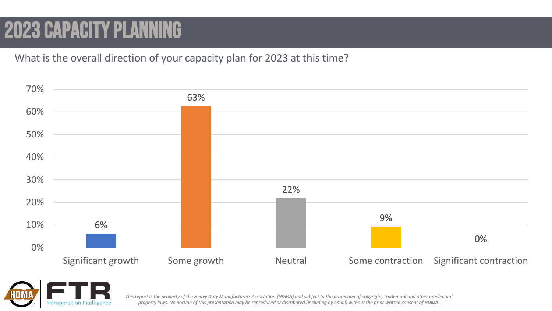# 2023 capacity planning

What is the overall direction of your capacity plan for 2023 at this time?



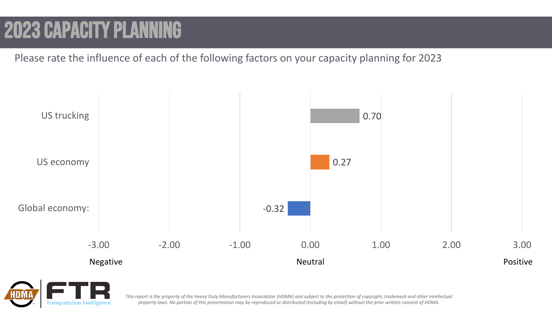# 2023 capacity planning

Please rate the influence of each of the following factors on your capacity planning for 2023



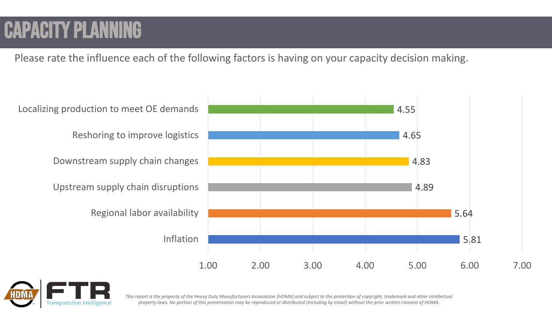# Capacity planning

Please rate the influence each of the following factors is having on your capacity decision making.



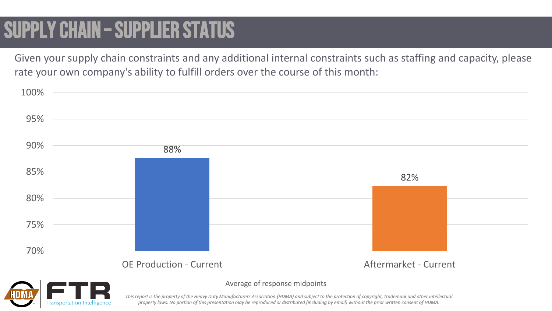# SUPPLY CHAIN – SUPPLIER STATUS

**Transportation Intelligence** 

Given your supply chain constraints and any additional internal constraints such as staffing and capacity, please rate your own company's ability to fulfill orders over the course of this month:

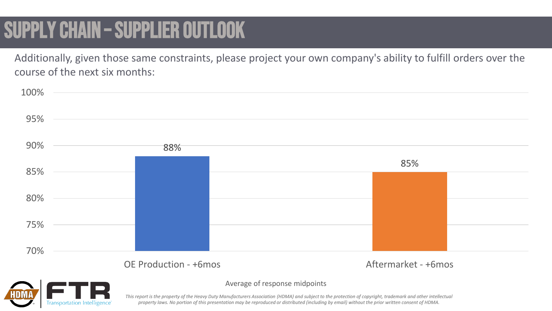# SUPPLY CHAIN – SUPPLIER OUTLOOK

**Transportation Intelligence** 

Additionally, given those same constraints, please project your own company's ability to fulfill orders over the course of the next six months:



#### Average of response midpoints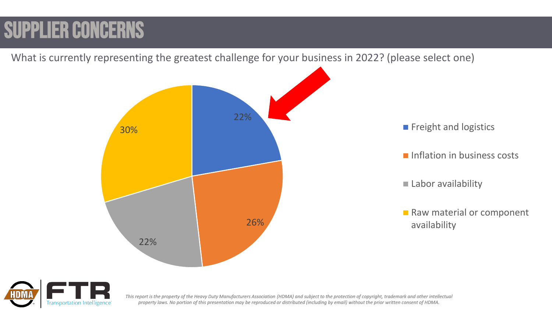# SUPPLIER CONCERNS

What is currently representing the greatest challenge for your business in 2022? (please select one) 22% 26% 22% **30% Freight and logistics Freight and logistics** Inflation in business costs Labor availability Raw material or component availability